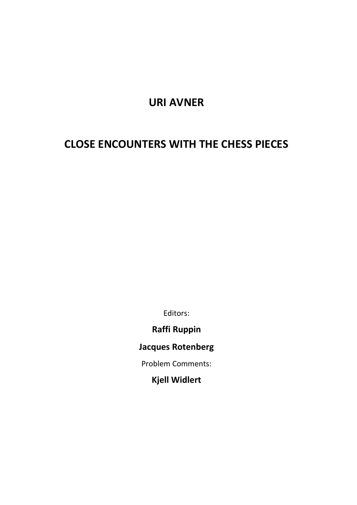## **URI AVNER**

# **CLOSE ENCOUNTERS WITH THE CHESS PIECES**

Editors:

**Raffi Ruppin** 

**Jacques Rotenberg**

Problem Comments:

**Kjell Widlert**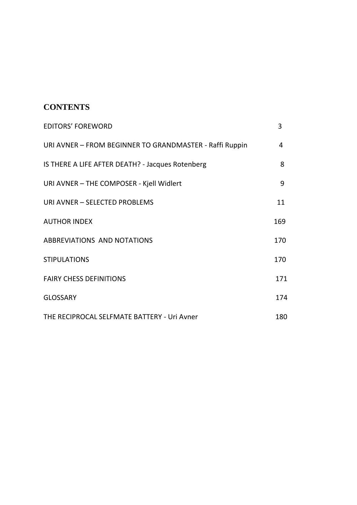## **CONTENTS**

| <b>EDITORS' FOREWORD</b>                                | 3   |
|---------------------------------------------------------|-----|
| URI AVNER - FROM BEGINNER TO GRANDMASTER - Raffi Ruppin | 4   |
| IS THERE A LIFE AFTER DEATH? - Jacques Rotenberg        | 8   |
| URI AVNER - THE COMPOSER - Kjell Widlert                | 9   |
| URI AVNER - SELECTED PROBLEMS                           | 11  |
| <b>AUTHOR INDEX</b>                                     | 169 |
| ABBREVIATIONS AND NOTATIONS                             | 170 |
| <b>STIPULATIONS</b>                                     | 170 |
| <b>FAIRY CHESS DEFINITIONS</b>                          | 171 |
| <b>GLOSSARY</b>                                         | 174 |
| THE RECIPROCAL SELFMATE BATTERY - Uri Avner             | 180 |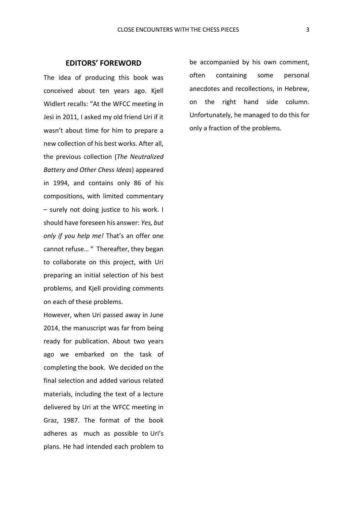The idea of producing this book was conceived about ten years ago. Kjell Widlert recalls: "At the WFCC meeting in Jesi in 2011, I asked my old friend Uri if it wasn't about time for him to prepare a new collection of his best works. After all, the previous collection (*The Neutralized Battery and Other Chess Ideas*) appeared in 1994, and contains only 86 of his compositions, with limited commentary – surely not doing justice to his work. I should have foreseen his answer: *Yes, but only if you help me!* That's an offer one cannot refuse… " Thereafter, they began to collaborate on this project, with Uri preparing an initial selection of his best problems, and Kjell providing comments on each of these problems.

However, when Uri passed away in June 2014, the manuscript was far from being ready for publication. About two years ago we embarked on the task of completing the book. We decided on the final selection and added various related materials, including the text of a lecture delivered by Uri at the WFCC meeting in Graz, 1987. The format of the book adheres as much as possible to Uri's plans. He had intended each problem to be accompanied by his own comment, often containing some personal anecdotes and recollections, in Hebrew, on the right hand side column. Unfortunately, he managed to do this for only a fraction of the problems.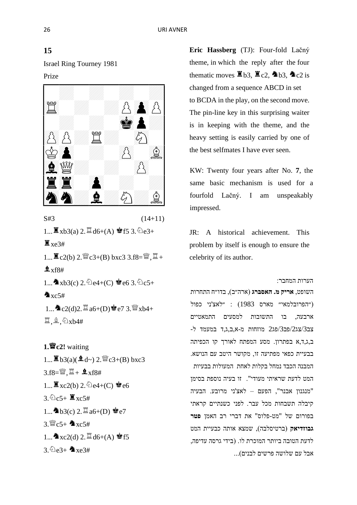Israel Ring Tourney 1981 Prize



 $S#3$  (14+11)

 $1...$   $\mathbb{Z}$  xb3(a)  $2.$   $\mathbb{Z}$  d6+(A)  $\mathbb{Z}$  f5 3.  $\mathbb{Q}$  e3+  $\Xi$  xe3#

 $1...$   $\mathbb{Z}$  c2(b) 2.  $\mathbb{Z}$  c3+(B) bxc3 3.f8= $\mathbb{Z}$ ,  $\mathbb{Z}$  +  $x$ f $8#$ 1...  $\triangle$ xb3(c) 2.  $\triangle$ e4+(C)  $\triangle$ e6 3.  $\triangle$ c5+  $xc5#$  $1...$   $\bullet$  c2(d)2.  $\ddot{\Xi}$  a6+(D)  $\dot{\bullet}$  e7 3.  $\dddot{\Xi}$  xb4+

 $\Xi$ ,  $\hat{\Xi}$ ,  $\hat{\Sigma}$ xb4#

**1.c2!** waiting  $1...$ **b** $3(a)($ **l** $d$ <sup> $\sim$ </sup> $)$  2.  $\mathbb{W}$  $c3+(B)$  bxc3  $3.58 = W$ ,  $\Xi$  +  $\Delta$  xf8#  $1...$   $\mathbb{Z}$  xc2(b) 2.  $\mathbb{\hat{Q}}$ e4+(C)  $\mathbb{Z}$ e6  $3.2c5+\ 2xc5\#$  $1...$  h3(c)  $2.\Xi_{a6+(D)}$  e7  $3.8c5+$   $xc5#$  $1...$   $xc2(d)$   $2.$   $\ddot{=}$   $d6+(A)$   $\dot{=}$  f5  $3\angle 2e3+$   $xe3\#$ 

**Eric Hassberg** (TJ): Four-fold Lačný theme, in which the reply after the four thematic moves  $\Xi$  b3,  $\Xi$  c2,  $\triangle$  b3,  $\triangle$  c2 is changed from a sequence ABCD in set to BCDA in the play, on the second move. The pin-line key in this surprising waiter is in keeping with the theme, and the heavy setting is easily carried by one of the best selfmates I have ever seen.

KW: Twenty four years after No. **7**, the same basic mechanism is used for a fourfold Lačný. I am unspeakably impressed.

JR: A historical achievement. This problem by itself is enough to ensure the celebrity of its author.

הערות המחבר:

השופט, **אריק מ. האסברג** ) ארה״ב(, בדו״ח התחרות ילאצ'ני כפול) ( יהפרובלמאי״ מארס 1983) ארבעה, בו התשובות למסעים התמאטיים צב/3צג/2פב/3פג2 מוזחות מ -א,ב,ג,ד במעמד ל- ב,ג,ד,א בפתרון. מסע המפתח לאורך קו הכפיתה בבעיית כפאי מפתיעה זו, מקושר היטב עם הנושא. המבנה הכבד נמחל בקלות לאחת המעולות בבעיות המט לדעת שראיתי מעודי". זו בעיה נוספת בסימן "מנגנון אבנר", הפעם – לאצ'ני מרובע. הבעיה קיבלה תשבחות מכל עבר. לפני כשנתיים קראתי בפורום של "מט-פלוס" את דברי רב האמן **פטר**  גבוזדיאק (ברטיסלבה), שמצא אותה כבעיית המט לדעת הטובה ביותר המוכרת לו. )בידי גרסה עדיפה, אבל עם שלושה פרשים לבנים)...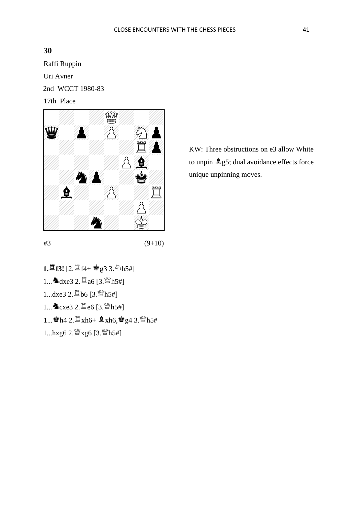Raffi Ruppin Uri Avner 2nd WCCT 1980-83 17th Place



KW: Three obstructions on e3 allow White to unpin  $\mathbf{\hat{2}}$  g5; dual avoidance effects force unique unpinning moves.

1.<sup>置</sup>f3! [2.<sup>置</sup>f4+ 會g3 3. 2h5#]  $1...$   $\Delta$  dxe3 2.  $\Xi$  a6 [3.  $\mathbb{W}$ h5#]  $1...dxe3$   $2.\nexists$   $b6$   $[3.\nexists$ #] 1... **A**cxe3 2.  $\Xi$ e6 [3.  $\mathbb{W}$ h5#] 1...  $h4 2. \ddot{=} xh6 + 2xh6$ ,  $g4 3. \dddot{=} h5#$ 

1...hxg6 2. $\frac{W}{2}$ xg6 [3. $W$ h5#]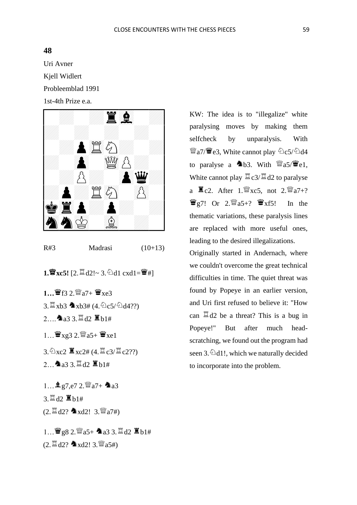Uri Avner Kjell Widlert Probleemblad 1991



| R#3<br>Madrasi | $(10+13)$ |
|----------------|-----------|
|----------------|-----------|

 $1.\n$ **W** xc5!  $[2.\n$  d2!~ 3. d1 cxd1=  $\mathbf{W}$ #]

- **1…**  $\mathbf{W}$ **f3 2** $\mathbf{W}$ a7+  $\mathbf{W}$ xe3
- $3. \mathbb{Z}$  xb3  $\bullet$  xb3# (4.  $\&c5/\&d4?$ ?)
- $2.9333 \times 12.5$  b1#

 $1...$  $\mathbf{W}_{\text{Xg3}}$  2. $\mathbf{W}_{\text{a5+}}$  $\mathbf{W}_{\text{xe1}}$ 

- $3.\overline{2} \times 2 \mathbb{Z} \times 2\# (4.\overline{2} \cdot 3/\overline{2} \cdot 2?)$
- 2... $\Delta$ a3 3. $\Xi$ d2  $\Xi$ b1#

 $1...$   $2.5$   $2.5$   $a$   $7+$   $a$   $a$ 3 3. 耳d2 Kh1#  $(2. \mathbb{Z} \text{d}2?$   $\Delta \text{xd2!}$  3.  $\mathbb{Z}$ a7#)

 $1...$   $982.$   $35+$   $233.$   $142.$   $151+$  $(2. \mathbb{Z} d2?$   $\Delta \times d2!$  3.  $\mathbb{Z} a5\#$ )

KW: The idea is to "illegalize" white paralysing moves by making them selfcheck by unparalysis. With  $\mathbb{W}$ a7/ $\mathbb{H}$ e3, White cannot play  $\mathbb{\Omega}$ c5/ $\mathbb{\Omega}$ d4 to paralyse a  $\triangle$ b3. With  $\mathcal{W}$ a5/ $\mathcal{W}$ e1, White cannot play  $\mathbb{Z}$  c3/ $\mathbb{Z}$  d2 to paralyse a  $\Xi$ c2. After 1.  $\mathbb{W}$ xc5, not 2.  $\mathbb{W}$ a7+?  $\mathbf{W}_{g7}$ ! Or 2. $\mathbf{W}_{a5+}$ ?  $\mathbf{W}_{xf5}$ ! In the thematic variations, these paralysis lines are replaced with more useful ones, leading to the desired illegalizations.

Originally started in Andernach, where we couldn't overcome the great technical difficulties in time. The quiet threat was found by Popeye in an earlier version, and Uri first refused to believe it: "How can  $\mathbb{Z}$  d2 be a threat? This is a bug in Popeye!" But after much headscratching, we found out the program had seen 3. $\textcircled{11}!$ , which we naturally decided to incorporate into the problem.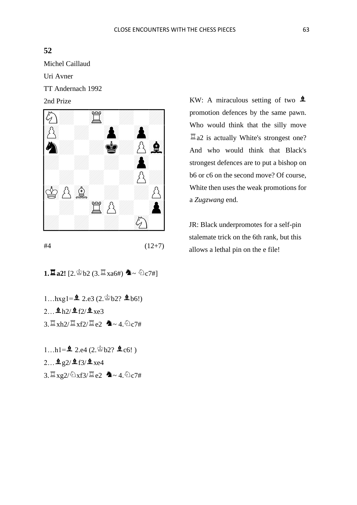Michel Caillaud

Uri Avner

TT Andernach 1992

2nd Prize



 $#4$   $(12+7)$ 

**1.Z** a2!  $[2 \& 62 \& (3 \times 364)$   $\bullet \sim 6274]$ 

- 1... $hxgl = 2.e3 (2.8b2? 2b6!)$
- $2...$  $h$  $1/2$  $f$  $2/2$  $xe$  $3$
- $3.\n\mathbb{Z}$  xh2/ $\mathbb{Z}$  xf2/ $\mathbb{Z}$  e2  $\mathbb{Z}$  ~ 4.  $\odot$  c7#

 $1...h1 = 2.2e4 (2.9b2? 2c6!)$ 

- $2...$   $2g2/2f3/2xe4$
- $3.\n\mathbb{Z}$  xg2/ $\triangle$ xf3/ $\mathbb{Z}$ e2  $\blacktriangle$  ~ 4. $\triangle$ c7#

KW: A miraculous setting of two  $\triangle$ promotion defences by the same pawn. Who would think that the silly move  $\Xi$  a2 is actually White's strongest one? And who would think that Black's strongest defences are to put a bishop on b6 or c6 on the second move? Of course, White then uses the weak promotions for a *Zugzwang* end.

JR: Black underpromotes for a self-pin stalemate trick on the 6th rank, but this allows a lethal pin on the e file!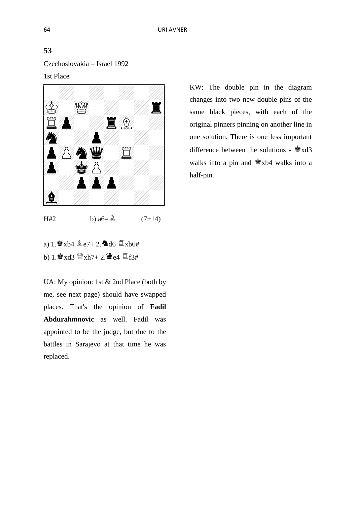Czechoslovakia – Israel 1992



H#2 b)  $a6=\hat{a}$  (7+14)

a)  $1.\bullet x$ b4  $\&e7+2.\bullet d6 \times x$ b6# b) 1. $\mathbf{\hat{z}}$  xd3  $\mathbf{\hat{z}}$  xh7+ 2. $\mathbf{\hat{z}}$  e4  $\mathbf{\hat{z}}$  f3#

UA: My opinion: 1st & 2nd Place (both by me, see next page) should have swapped places. That's the opinion of **Fadil Abdurahmnovic** as well. Fadil was appointed to be the judge, but due to the battles in Sarajevo at that time he was replaced.

KW: The double pin in the diagram changes into two new double pins of the same black pieces, with each of the original pinners pinning on another line in one solution. There is one less important difference between the solutions -  $\triangleq$  xd3 walks into a pin and  $\dot{\bullet}$  xb4 walks into a half-pin.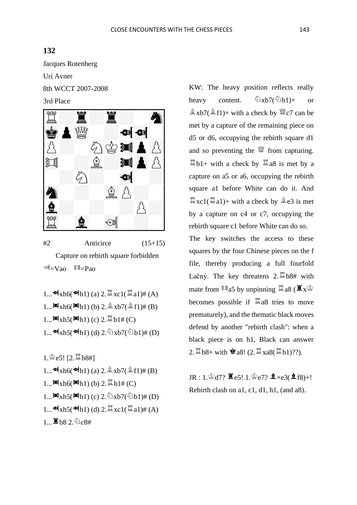Jacques Rotenberg

Uri Avner

8th WCCT 2007-2008

3rd Place



 $#2$  Anticirce  $(15+15)$  Capture on rebirth square forbidden  $\mathbb{E}$  =Vao  $\mathbb{H}$  =Pao

 $1...$  of  $xh6$  (of  $h1$ ) (a)  $2.\mathbb{Z}$   $xc1(\mathbb{Z} a1)$   $#$  (A) 1... $\mathbb{M}_{\text{Xh6}}(\mathbb{M}_{\text{h1}})$  (b) 2. $\frac{3}{4}$  xb7( $\frac{6}{4}$ f1)# (B) 1... $\mathbb{M}_{\mathrm{Xh5}}(\mathbb{M}_{\mathrm{h1}})$  (c) 2.  $\mathbb{Z}_{\mathrm{b1\#}}$  (C) 1... $\Phi$   $xh5(\Phi h1)$  (d) 2.  $\Phi xb7(\Phi b1)$ # (D)

 $1.$  $e$  $e$ 5!  $[2.$  $\Xi$  $b$  $8$ #]

1...  $\Phi(xh6(\Phi h1)$  (a) 2.  $\&\Phi(xb7(\hat{a}f1)\# (B))$ 1... $\mathbb{M}_{\text{Xh6}}(\mathbb{M}_{h1})$  (b) 2.  $\mathbb{Z}_{b1\#(C)}$ 1... $\mathbb{M}_{\mathrm{Xh5}}(\mathbb{M}_{\mathrm{h1}})$  (c) 2.  $\mathbb{D}_{\mathrm{Xb7}}(\mathbb{D}_{\mathrm{b1}})$ # (D) 1...  $\mathbf{d} \times \mathbf{h}$ 5( $\mathbf{d} \times \mathbf{h}$ 1) (d) 2.  $\mathbb{Z} \times 1(\mathbb{Z} \times 1)$ # (A)  $1...$  b8 2.  $0c8#$ 

KW: The heavy position reflects really heavy content.  $\&\Delta x b7(\& b1)+$  or  $\frac{\hat{\mathbb{Q}}}{\hat{\mathbb{Z}}}$ xb7( $\frac{\hat{\mathbb{Q}}}{\hat{\mathbb{Z}}}$ f1)+ with a check by  $\mathbb{W}$ c7 can be met by a capture of the remaining piece on d5 or d6, occupying the rebirth square d1 and so preventing the  $\mathbb{S}$  from capturing.  $\mathbb{Z}_{b1+}$  with a check by  $\mathbb{Z}_{a8}$  is met by a capture on a5 or a6, occupying the rebirth square a1 before White can do it. And  $\mathbb{Z}_{\text{XC}}$  $(\mathbb{Z}_{a1})$ + with a check by  $a \triangleq e3$  is met by a capture on c4 or c7, occupying the rebirth square c1 before White can do so.

The key switches the access to these squares by the four Chinese pieces on the f file, thereby producing a full fourfold Lačný. The key threatens  $2.\overline{2}$  b8# with mate from  $\mathbb{Z}_{a5}$  by unpinning  $\mathbb{Z}_{a8}$  ( $\mathbb{Z}_{x}$  $\circledast$ becomes possible if  $\Xi$  a8 tries to move prematurely), and the thematic black moves defend by another "rebirth clash": when a black piece is on h1, Black can answer 2.  $\mathbb{Z}$  b8+ with  $\bullet$  a8! (2.  $\mathbb{Z}$  xa8( $\mathbb{Z}$  h1)??).

 $JR : 1.\n\& d7? \n\mathbb{Z}e5! 1.\n\& e7? \n\mathbb{Z} \times e3(\mathbf{2}f8) + !$ Rebirth clash on a1, c1, d1, h1, (and a8).